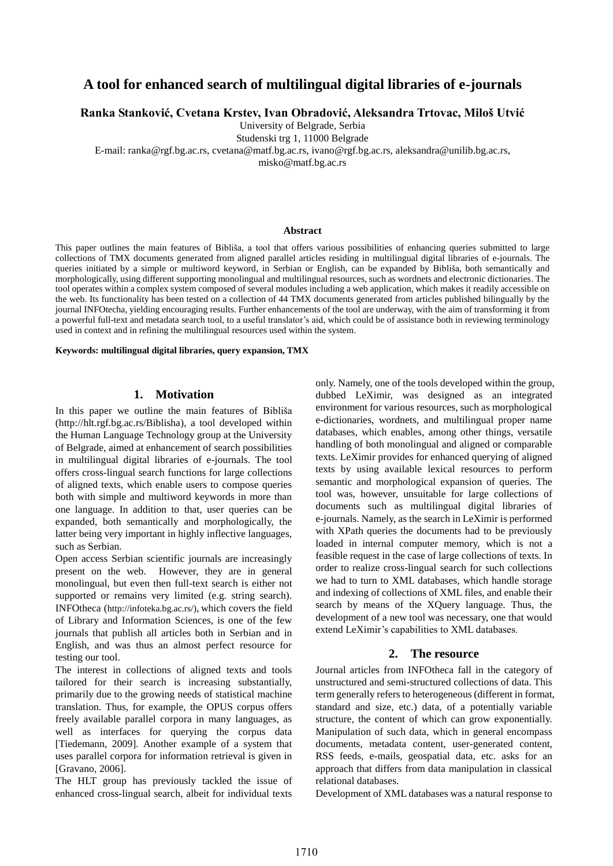# **A tool for enhanced search of multilingual digital libraries of e-journals**

**Ranka Stanković, Cvetana Krstev, Ivan Obradović, Aleksandra Trtovac, Miloš Utvić**

University of Belgrade, Serbia

Studenski trg 1, 11000 Belgrade

E-mail: ranka@rgf.bg.ac.rs, cvetana@matf.bg.ac.rs, ivano@rgf.bg.ac.rs, aleksandra@unilib.bg.ac.rs,

misko@matf.bg.ac.rs

#### **Abstract**

This paper outlines the main features of Bibliša, a tool that offers various possibilities of enhancing queries submitted to large collections of TMX documents generated from aligned parallel articles residing in multilingual digital libraries of e-journals. The queries initiated by a simple or multiword keyword, in Serbian or English, can be expanded by Bibliša, both semantically and morphologically, using different supporting monolingual and multilingual resources, such as wordnets and electronic dictionaries. The tool operates within a complex system composed of several modules including a web application, which makes it readily accessible on the web. Its functionality has been tested on a collection of 44 TMX documents generated from articles published bilingually by the journal INFOtecha, yielding encouraging results. Further enhancements of the tool are underway, with the aim of transforming it from a powerful full-text and metadata search tool, to a useful translator's aid, which could be of assistance both in reviewing terminology used in context and in refining the multilingual resources used within the system.

#### **Keywords: multilingual digital libraries, query expansion, TMX**

#### **1. Motivation**

In this paper we outline the main features of Bibliša (http://hlt.rgf.bg.ac.rs/Biblisha), a tool developed within the Human Language Technology group at the University of Belgrade, aimed at enhancement of search possibilities in multilingual digital libraries of e-journals. The tool offers cross-lingual search functions for large collections of aligned texts, which enable users to compose queries both with simple and multiword keywords in more than one language. In addition to that, user queries can be expanded, both semantically and morphologically, the latter being very important in highly inflective languages, such as Serbian.

Open access Serbian scientific journals are increasingly present on the web. However, they are in general monolingual, but even then full-text search is either not supported or remains very limited (e.g. string search). INFOtheca (http://infoteka.bg.ac.rs/), which covers the field of Library and Information Sciences, is one of the few journals that publish all articles both in Serbian and in English, and was thus an almost perfect resource for testing our tool.

The interest in collections of aligned texts and tools tailored for their search is increasing substantially, primarily due to the growing needs of statistical machine translation. Thus, for example, the OPUS corpus offers freely available parallel corpora in many languages, as well as interfaces for querying the corpus data [Tiedemann, 2009]. Another example of a system that uses parallel corpora for information retrieval is given in [Gravano, 2006].

The HLT group has previously tackled the issue of enhanced cross-lingual search, albeit for individual texts

only. Namely, one of the tools developed within the group, dubbed LeXimir, was designed as an integrated environment for various resources, such as morphological e-dictionaries, wordnets, and multilingual proper name databases, which enables, among other things, versatile handling of both monolingual and aligned or comparable texts. LeXimir provides for enhanced querying of aligned texts by using available lexical resources to perform semantic and morphological expansion of queries. The tool was, however, unsuitable for large collections of documents such as multilingual digital libraries of e-journals. Namely, as the search in LeXimir is performed with XPath queries the documents had to be previously loaded in internal computer memory, which is not a feasible request in the case of large collections of texts. In order to realize cross-lingual search for such collections we had to turn to XML databases, which handle storage and indexing of collections of XML files, and enable their search by means of the XQuery language. Thus, the development of a new tool was necessary, one that would extend LeXimir's capabilities to XML databases.

#### **2. The resource**

Journal articles from INFOtheca fall in the category of unstructured and semi-structured collections of data. This term generally refers to heterogeneous (different in format, standard and size, etc.) data, of a potentially variable structure, the content of which can grow exponentially. Manipulation of such data, which in general encompass documents, metadata content, user-generated content, RSS feeds, e-mails, geospatial data, etc. asks for an approach that differs from data manipulation in classical relational databases.

Development of XML databases was a natural response to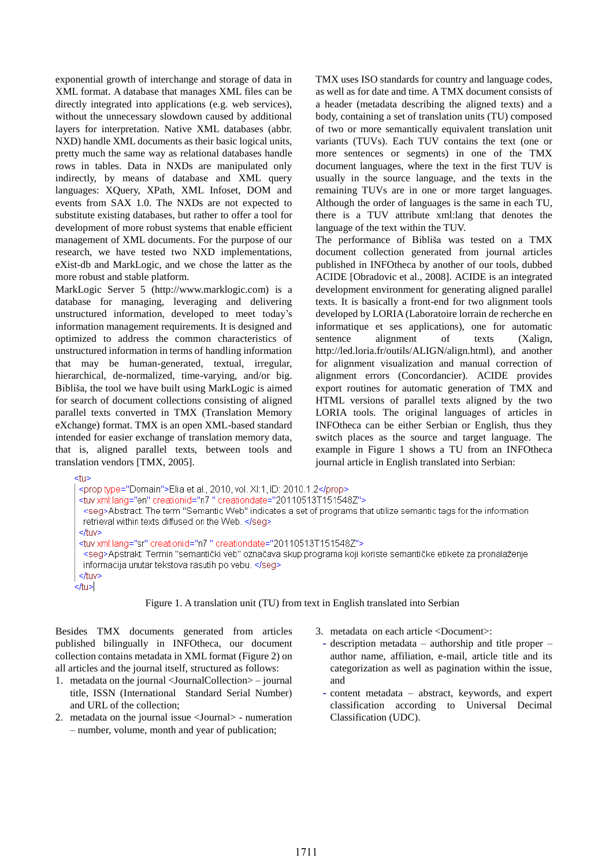exponential growth of interchange and storage of data in XML format. A database that manages XML files can be directly integrated into applications (e.g. web services), without the unnecessary slowdown caused by additional layers for interpretation. Native XML databases (abbr. NXD) handle XML documents as their basic logical units, pretty much the same way as relational databases handle rows in tables. Data in NXDs are manipulated only indirectly, by means of database and XML query languages: XQuery, XPath, XML Infoset, DOM and events from SAX 1.0. The NXDs are not expected to substitute existing databases, but rather to offer a tool for development of more robust systems that enable efficient management of XML documents. For the purpose of our research, we have tested two NXD implementations, eXist-db and MarkLogic, and we chose the latter as the more robust and stable platform.

MarkLogic Server 5 (http://www.marklogic.com) is a database for managing, leveraging and delivering unstructured information, developed to meet today's information management requirements. It is designed and optimized to address the common characteristics of unstructured information in terms of handling information that may be human-generated, textual, irregular, hierarchical, de-normalized, time-varying, and/or big. Bibliša, the tool we have built using MarkLogic is aimed for search of document collections consisting of aligned parallel texts converted in TMX (Translation Memory eXchange) format. TMX is an open XML-based standard intended for easier exchange of translation memory data, that is, aligned parallel texts, between tools and translation vendors [TMX, 2005].

TMX uses ISO standards for country and language codes, as well as for date and time. A TMX document consists of a header (metadata describing the aligned texts) and a body, containing a set of translation units (TU) composed of two or more semantically equivalent translation unit variants (TUVs). Each TUV contains the text (one or more sentences or segments) in one of the TMX document languages, where the text in the first TUV is usually in the source language, and the texts in the remaining TUVs are in one or more target languages. Although the order of languages is the same in each TU, there is a TUV attribute xml:lang that denotes the language of the text within the TUV.

The performance of Bibliša was tested on a TMX document collection generated from journal articles published in INFOtheca by another of our tools, dubbed ACIDE [Obradovic et al., 2008]. ACIDE is an integrated development environment for generating aligned parallel texts. It is basically a front-end for two alignment tools developed by LORIA (Laboratoire lorrain de recherche en informatique et ses applications), one for automatic sentence alignment of texts (Xalign, http://led.loria.fr/outils/ALIGN/align.html), and another for alignment visualization and manual correction of alignment errors (Concordancier). ACIDE provides export routines for automatic generation of TMX and HTML versions of parallel texts aligned by the two LORIA tools. The original languages of articles in INFOtheca can be either Serbian or English, thus they switch places as the source and target language. The example in Figure 1 shows a TU from an INFOtheca journal article in English translated into Serbian:

<tu>

| <prop type="Domain">Elia et al., 2010, vol. XI:1, ID: 2010.1.2</prop>                                                   |
|-------------------------------------------------------------------------------------------------------------------------|
| <tuv creationdate="20110513T151548Z" creationid="n7" xml:lang="en"></tuv>                                               |
| <seg>Abstract: The term "Semantic Web" indicates a set of programs that utilize semantic tags for the information</seg> |
| retrieval within texts diffused on the Web.                                                                             |
|                                                                                                                         |
| <tuv creationdate="20110513T151548Z" creationid="n7" xml:lang="sr"></tuv>                                               |
| ≺seg>Apstrakt: Termin "semantički veb" označava skup programa koji koriste semantičke etikete za pronalaženje           |
| informacija unutar tekstova rasutih po vebu.                                                                            |
|                                                                                                                         |
|                                                                                                                         |
| l                                                                                                                       |
|                                                                                                                         |

Figure 1. A translation unit (TU) from text in English translated into Serbian

Besides TMX documents generated from articles published bilingually in INFOtheca, our document collection contains metadata in XML format (Figure 2) on all articles and the journal itself, structured as follows:

- 1. metadata on the journal <JournalCollection> journal title, ISSN (International Standard Serial Number) and URL of the collection;
- 2. metadata on the journal issue <Journal> numeration – number, volume, month and year of publication;
- 3. metadata on each article <Document>:
- $\text{description metadata} \text{authorship and title proper}$ author name, affiliation, e-mail, article title and its categorization as well as pagination within the issue, and
- content metadata abstract, keywords, and expert classification according to Universal Decimal Classification (UDC).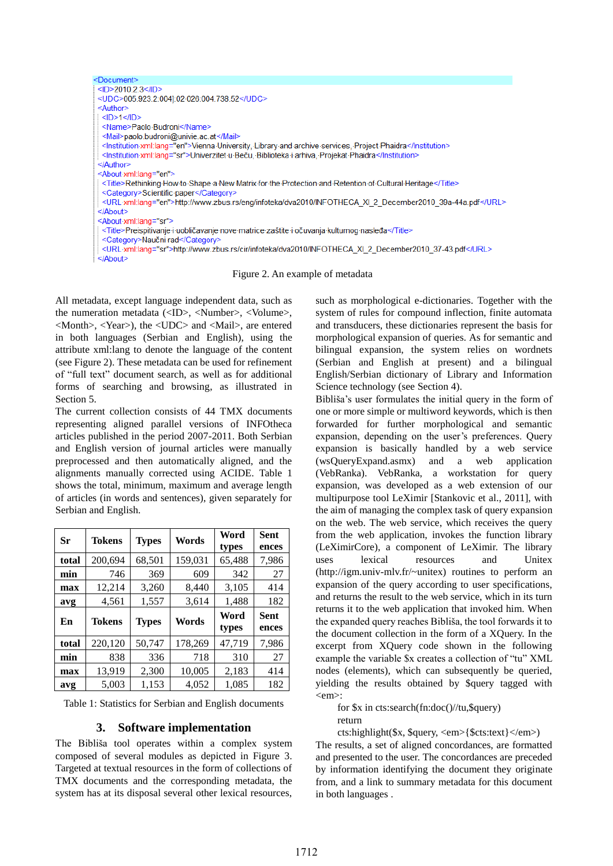

Figure 2. An example of metadata

All metadata, except language independent data, such as the numeration metadata (<ID>, <Number>, <Volume>, <Month>, <Year>), the <UDC> and <Mail>, are entered in both languages (Serbian and English), using the attribute xml:lang to denote the language of the content (see Figure 2). These metadata can be used for refinement of "full text" document search, as well as for additional forms of searching and browsing, as illustrated in Section 5.

The current collection consists of 44 TMX documents representing aligned parallel versions of INFOtheca articles published in the period 2007-2011. Both Serbian and English version of journal articles were manually preprocessed and then automatically aligned, and the alignments manually corrected using ACIDE. Table 1 shows the total, minimum, maximum and average length of articles (in words and sentences), given separately for Serbian and English.

| Sr    | <b>Tokens</b> | <b>Types</b> | Words   | Word<br>types | <b>Sent</b><br>ences |
|-------|---------------|--------------|---------|---------------|----------------------|
| total | 200.694       | 68,501       | 159,031 | 65,488        | 7,986                |
| min   | 746           | 369          | 609     | 342           | 27                   |
| max   | 12,214        | 3,260        | 8,440   | 3,105         | 414                  |
| avg   | 4,561         | 1,557        | 3,614   | 1,488         | 182                  |
|       |               |              |         |               |                      |
| En    | Tokens        | <b>Types</b> | Words   | Word<br>types | Sent<br>ences        |
| total | 220,120       | 50,747       | 178,269 | 47,719        | 7,986                |
| min   | 838           | 336          | 718     | 310           | 27                   |
| max   | 13,919        | 2,300        | 10,005  | 2,183         | 414                  |

Table 1: Statistics for Serbian and English documents

# **3. Software implementation**

The Bibliša tool operates within a complex system composed of several modules as depicted in Figure 3. Targeted at textual resources in the form of collections of TMX documents and the corresponding metadata, the system has at its disposal several other lexical resources, such as morphological e-dictionaries. Together with the system of rules for compound inflection, finite automata and transducers, these dictionaries represent the basis for morphological expansion of queries. As for semantic and bilingual expansion, the system relies on wordnets (Serbian and English at present) and a bilingual English/Serbian dictionary of Library and Information Science technology (see Section 4).

Bibliša's user formulates the initial query in the form of one or more simple or multiword keywords, which is then forwarded for further morphological and semantic expansion, depending on the user's preferences. Query expansion is basically handled by a web service (wsQueryExpand.asmx) and a web application (VebRanka). VebRanka, a workstation for query expansion, was developed as a web extension of our multipurpose tool LeXimir [Stankovic et al., 2011], with the aim of managing the complex task of query expansion on the web. The web service, which receives the query from the web application, invokes the function library (LeXimirCore), a component of LeXimir. The library uses lexical resources and Unitex (http://igm.univ-mlv.fr/~unitex) routines to perform an expansion of the query according to user specifications, and returns the result to the web service, which in its turn returns it to the web application that invoked him. When the expanded query reaches Bibliša, the tool forwards it to the document collection in the form of a XQuery. In the excerpt from XQuery code shown in the following example the variable \$x creates a collection of "tu" XML nodes (elements), which can subsequently be queried, yielding the results obtained by \$query tagged with <em>:

for \$x in cts:search(fn:doc()//tu,\$query) return

cts:highlight(\$x, \$query, <em>{\$cts:text}</em>) The results, a set of aligned concordances, are formatted and presented to the user. The concordances are preceded by information identifying the document they originate from, and a link to summary metadata for this document in both languages .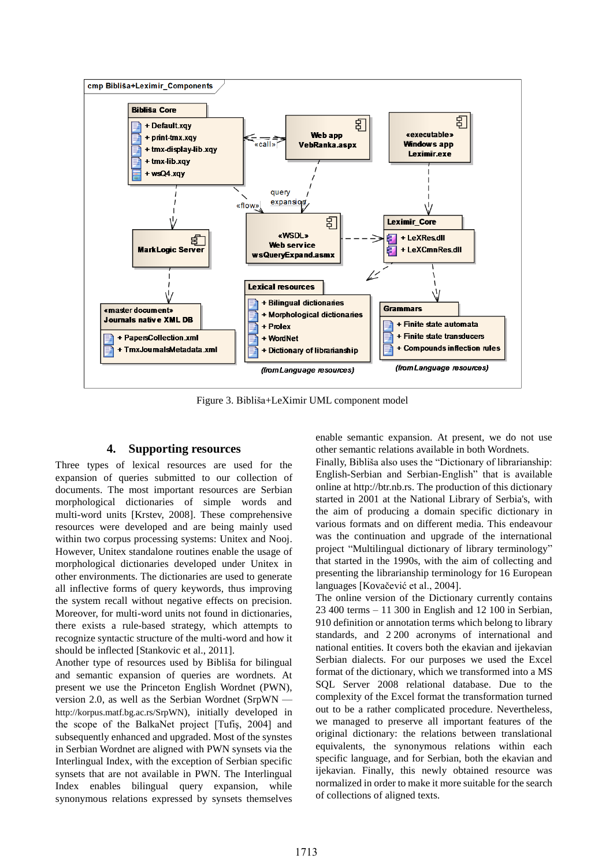

Figure 3. Bibliša+LeXimir UML component model

### **4. Supporting resources**

Three types of lexical resources are used for the expansion of queries submitted to our collection of documents. The most important resources are Serbian morphological dictionaries of simple words and multi-word units [Krstev, 2008]. These comprehensive resources were developed and are being mainly used within two corpus processing systems: Unitex and Nooj. However, Unitex standalone routines enable the usage of morphological dictionaries developed under Unitex in other environments. The dictionaries are used to generate all inflective forms of query keywords, thus improving the system recall without negative effects on precision. Moreover, for multi-word units not found in dictionaries, there exists a rule-based strategy, which attempts to recognize syntactic structure of the multi-word and how it should be inflected [Stankovic et al., 2011].

Another type of resources used by Bibliša for bilingual and semantic expansion of queries are wordnets. At present we use the Princeton English Wordnet (PWN), version 2.0, as well as the Serbian Wordnet (SrpWN http://korpus.matf.bg.ac.rs/SrpWN), initially developed in the scope of the BalkaNet project [Tufiş, 2004] and subsequently enhanced and upgraded. Most of the synstes in Serbian Wordnet are aligned with PWN synsets via the Interlingual Index, with the exception of Serbian specific synsets that are not available in PWN. The Interlingual Index enables bilingual query expansion, while synonymous relations expressed by synsets themselves

enable semantic expansion. At present, we do not use other semantic relations available in both Wordnets.

Finally, Bibliša also uses the "Dictionary of librarianship: English-Serbian and Serbian-English" that is available online at http://btr.nb.rs. The production of this dictionary started in 2001 at the National Library of Serbia's, with the aim of producing a domain specific dictionary in various formats and on different media. This endeavour was the continuation and upgrade of the international project "Multilingual dictionary of library terminology" that started in the 1990s, with the aim of collecting and presenting the librarianship terminology for 16 European languages [Kovačević et al., 2004].

The online version of the Dictionary currently contains 23 400 terms – 11 300 in English and 12 100 in Serbian, 910 definition or annotation terms which belong to library standards, and 2 200 acronyms of international and national entities. It covers both the ekavian and ijekavian Serbian dialects. For our purposes we used the Excel format of the dictionary, which we transformed into a MS SQL Server 2008 relational database. Due to the complexity of the Excel format the transformation turned out to be a rather complicated procedure. Nevertheless, we managed to preserve all important features of the original dictionary: the relations between translational equivalents, the synonymous relations within each specific language, and for Serbian, both the ekavian and ijekavian. Finally, this newly obtained resource was normalized in order to make it more suitable for the search of collections of aligned texts.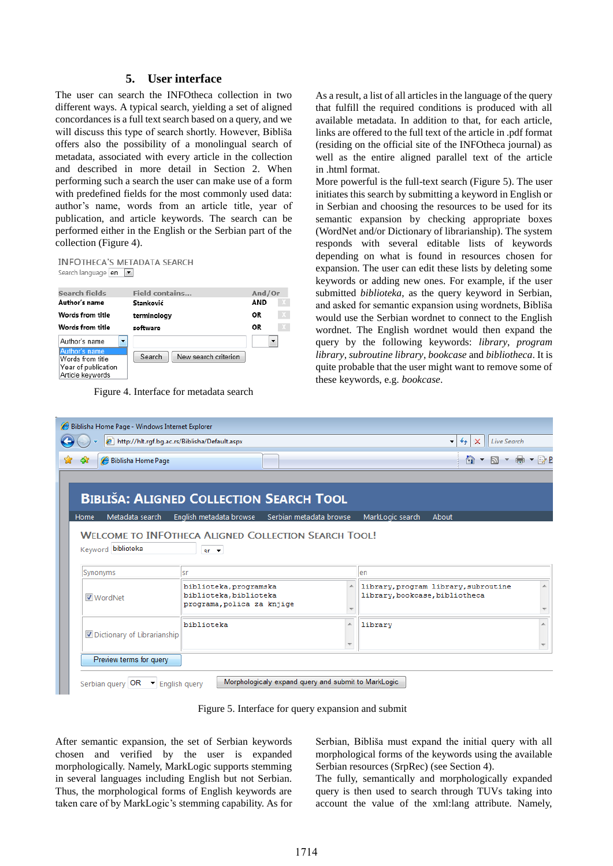# **5. User interface**

The user can search the INFOtheca collection in two different ways. A typical search, yielding a set of aligned concordances is a full text search based on a query, and we will discuss this type of search shortly. However, Bibliša offers also the possibility of a monolingual search of metadata, associated with every article in the collection and described in more detail in Section 2. When performing such a search the user can make use of a form with predefined fields for the most commonly used data: author's name, words from an article title, year of publication, and article keywords. The search can be performed either in the English or the Serbian part of the collection (Figure 4).

**INFOTHECA'S METADATA SEARCH** Search language en

| Search fields                                                                                                             | <b>Field contains</b>          | And/Or                   |  |
|---------------------------------------------------------------------------------------------------------------------------|--------------------------------|--------------------------|--|
| Author's name                                                                                                             | Stanković                      | AND                      |  |
| Words from title                                                                                                          | terminology                    | <b>OR</b>                |  |
| Words from title                                                                                                          | software                       | ΟR                       |  |
| Author's name<br>$\overline{\phantom{a}}$<br>Author's name<br>Words from title<br>Year of publication<br>Article keywords | Search<br>New search criterion | $\overline{\phantom{a}}$ |  |

Figure 4. Interface for metadata search

As a result, a list of all articles in the language of the query that fulfill the required conditions is produced with all available metadata. In addition to that, for each article, links are offered to the full text of the article in .pdf format (residing on the official site of the INFOtheca journal) as well as the entire aligned parallel text of the article in .html format.

More powerful is the full-text search (Figure 5). The user initiates this search by submitting a keyword in English or in Serbian and choosing the resources to be used for its semantic expansion by checking appropriate boxes (WordNet and/or Dictionary of librarianship). The system responds with several editable lists of keywords depending on what is found in resources chosen for expansion. The user can edit these lists by deleting some keywords or adding new ones. For example, if the user submitted *biblioteka*, as the query keyword in Serbian, and asked for semantic expansion using wordnets, Bibliša would use the Serbian wordnet to connect to the English wordnet. The English wordnet would then expand the query by the following keywords: *library*, *program library*, *subroutine library*, *bookcase* and *bibliotheca*. It is quite probable that the user might want to remove some of these keywords, e.g. *bookcase*.

|                             | $e$ http://hlt.rqf.bq.ac.rs/Biblisha/Default.aspx           |                          | Live Search<br>$+$<br>▼<br>×         |
|-----------------------------|-------------------------------------------------------------|--------------------------|--------------------------------------|
| dir.<br>Biblisha Home Page  |                                                             |                          | 61                                   |
|                             |                                                             |                          |                                      |
|                             | <b>BIBLIŠA: ALIGNED COLLECTION SEARCH TOOL</b>              |                          |                                      |
| Metadata search<br>Home     | English metadata browse<br>Serbian metadata browse          |                          | MarkLogic search<br>About            |
|                             |                                                             |                          |                                      |
|                             | <b>WELCOME TO INFOTHECA ALIGNED COLLECTION SEARCH TOOL!</b> |                          |                                      |
| Keyword biblioteka          | $er$ $\star$                                                |                          |                                      |
|                             |                                                             |                          |                                      |
|                             |                                                             |                          |                                      |
| Synonyms                    | lsr                                                         |                          | len                                  |
|                             | biblioteka, programska                                      | A.                       | library, program library, subroutine |
| WordNet                     | biblioteka, biblioteka                                      |                          | library, bookcase, bibliotheca       |
|                             | programa, polica za knjige                                  | $\overline{\phantom{a}}$ |                                      |
|                             | biblioteka                                                  | A.                       | library                              |
| Dictionary of Librarianship |                                                             |                          |                                      |
|                             |                                                             | $\overline{\phantom{a}}$ |                                      |
| Preview terms for query     |                                                             |                          |                                      |

Figure 5. Interface for query expansion and submit

After semantic expansion, the set of Serbian keywords chosen and verified by the user is expanded morphologically. Namely, MarkLogic supports stemming in several languages including English but not Serbian. Thus, the morphological forms of English keywords are taken care of by MarkLogic's stemming capability. As for

Serbian, Bibliša must expand the initial query with all morphological forms of the keywords using the available Serbian resources (SrpRec) (see Section 4).

The fully, semantically and morphologically expanded query is then used to search through TUVs taking into account the value of the xml:lang attribute. Namely,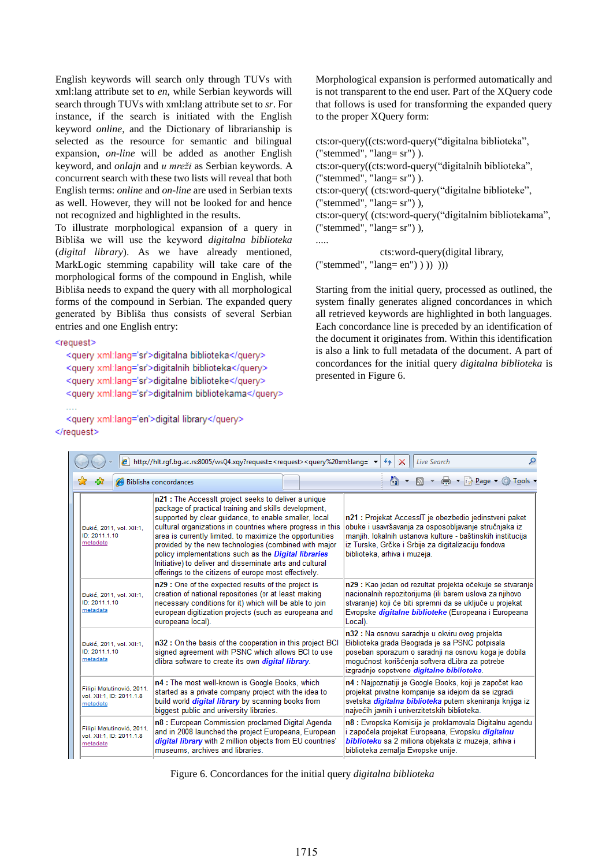English keywords will search only through TUVs with xml:lang attribute set to *en*, while Serbian keywords will search through TUVs with xml:lang attribute set to *sr*. For instance, if the search is initiated with the English keyword *online*, and the Dictionary of librarianship is selected as the resource for semantic and bilingual expansion, *on-line* will be added as another English keyword, and *onlajn* and *u mreži* as Serbian keywords. A concurrent search with these two lists will reveal that both English terms: *online* and *on-line* are used in Serbian texts as well. However, they will not be looked for and hence not recognized and highlighted in the results.

To illustrate morphological expansion of a query in Bibliša we will use the keyword *digitalna biblioteka* (*digital library*). As we have already mentioned, MarkLogic stemming capability will take care of the morphological forms of the compound in English, while Bibliša needs to expand the query with all morphological forms of the compound in Serbian. The expanded query generated by Bibliša thus consists of several Serbian entries and one English entry:

<request>

```
<query xml:lang='sr'>digitalna biblioteka</query>
<query xml:lang='sr'>digitalnih biblioteka</query>
<query xml:lang='sr'>digitalne biblioteke</query>
<query xml:lang='sr'>digitalnim bibliotekama</query>
```
<query xml:lang='en'>digital library</query> </request>

Morphological expansion is performed automatically and is not transparent to the end user. Part of the XQuery code that follows is used for transforming the expanded query to the proper XQuery form:

cts:or-query((cts:word-query("digitalna biblioteka", ("stemmed", " $lang = sr$ ") ). cts:or-query((cts:word-query("digitalnih biblioteka", ("stemmed", " $lang = sr$ ")). cts:or-query( (cts:word-query("digitalne biblioteke", ("stemmed", "lang= sr") ), cts:or-query( (cts:word-query("digitalnim bibliotekama", ("stemmed", " $lang = sr$ ")), .....

 cts:word-query(digital library, ("stemmed", " $lang= en"$ ) )))))

Starting from the initial query, processed as outlined, the system finally generates aligned concordances in which all retrieved keywords are highlighted in both languages. Each concordance line is preceded by an identification of the document it originates from. Within this identification is also a link to full metadata of the document. A part of concordances for the initial query *digitalna biblioteka* is presented in Figure 6.

| e http://hlt.rgf.bg.ac.rs:8005/wsQ4.xqy?request= <request><query%20xml:lang=' ▼<br=""><b>Live Search</b><br/>₩<br/>×</query%20xml:lang='></request> |                                                                                                                                                                                                                                                                                                                                                                                                                                                                                                                                                                                                                                                                                                                                                                                                                                                                                                                                                                                                                                                                                                                                                                                                       |  |                                                                                                                                                                                                                                                                      |  |                                    |
|-----------------------------------------------------------------------------------------------------------------------------------------------------|-------------------------------------------------------------------------------------------------------------------------------------------------------------------------------------------------------------------------------------------------------------------------------------------------------------------------------------------------------------------------------------------------------------------------------------------------------------------------------------------------------------------------------------------------------------------------------------------------------------------------------------------------------------------------------------------------------------------------------------------------------------------------------------------------------------------------------------------------------------------------------------------------------------------------------------------------------------------------------------------------------------------------------------------------------------------------------------------------------------------------------------------------------------------------------------------------------|--|----------------------------------------------------------------------------------------------------------------------------------------------------------------------------------------------------------------------------------------------------------------------|--|------------------------------------|
| Biblisha concordances                                                                                                                               |                                                                                                                                                                                                                                                                                                                                                                                                                                                                                                                                                                                                                                                                                                                                                                                                                                                                                                                                                                                                                                                                                                                                                                                                       |  |                                                                                                                                                                                                                                                                      |  | <b>价▼同▼鼎▼段Page▼◎T<u>o</u>ols</b> ▼ |
| Đukić, 2011, vol. XII:1,<br>ID: 2011.1.10<br>metadata                                                                                               | n21 : The Accessit project seeks to deliver a unique<br>package of practical training and skills development,<br>supported by clear quidance, to enable smaller, local<br>cultural organizations in countries where progress in this<br>area is currently limited, to maximize the opportunities<br>provided by the new technologies (combined with major<br>policy implementations such as the Digital libraries<br>Initiative) to deliver and disseminate arts and cultural<br>offerings to the citizens of europe most effectively.<br>n29 : One of the expected results of the project is<br>creation of national repositories (or at least making<br>necessary conditions for it) which will be able to join<br>european digitization projects (such as europeana and<br>europeana local).<br>n32 : On the basis of the cooperation in this project BCI<br>signed agreement with PSNC which allows BCI to use<br>dlibra software to create its own <i>digital library</i> .<br>n4 : The most well-known is Google Books, which<br>started as a private company project with the idea to<br>build world <i>digital library</i> by scanning books from<br>biggest public and university libraries. |  | n21 : Projekat AccessIT je obezbedio jedinstveni paket<br>obuke i usavršavanja za osposobljavanje stručnjaka iz<br>manjih, lokalnih ustanova kulture - baštinskih institucija<br>iz Turske, Grčke i Srbije za digitalizaciju fondova<br>biblioteka, arhiva i muzeja. |  |                                    |
| Đukić, 2011. vol. XII:1.<br>ID: 2011 1:10<br>metadata                                                                                               |                                                                                                                                                                                                                                                                                                                                                                                                                                                                                                                                                                                                                                                                                                                                                                                                                                                                                                                                                                                                                                                                                                                                                                                                       |  | n29 : Kao jedan od rezultat projekta očekuje se stvaranje<br>nacionalnih repozitorijuma (ili barem uslova za njihovo<br>stvaranje) koji će biti spremni da se uključe u projekat<br>Evropske <i>digitalne biblioteke (</i> Europeana i Europeana<br>Local).          |  |                                    |
| Đukić, 2011, vol. XII:1.<br>ID: 2011.1.10<br>metadata                                                                                               |                                                                                                                                                                                                                                                                                                                                                                                                                                                                                                                                                                                                                                                                                                                                                                                                                                                                                                                                                                                                                                                                                                                                                                                                       |  | n32 : Na osnovu saradnje u okviru ovog projekta<br>Biblioteka grada Beograda je sa PSNC potpisala<br>poseban sporazum o saradnji na osnovu koga je dobila<br>mogućnost korišćenja softvera dLibra za potrebe<br>izgradnie sopstvene digitalne biblioteke.            |  |                                    |
| Filipi Matutinović, 2011,<br>vol. XII:1, ID: 2011.1.8<br>metadata                                                                                   |                                                                                                                                                                                                                                                                                                                                                                                                                                                                                                                                                                                                                                                                                                                                                                                                                                                                                                                                                                                                                                                                                                                                                                                                       |  | n4 : Najpoznatiji je Google Books, koji je započet kao<br>projekat privatne kompanije sa idejom da se izgradi<br>svetska <i>digitalna biblioteka</i> putem skeniranja knjiga iz<br>naivećih javnih i univerzitetskih biblioteka.                                     |  |                                    |
| Filipi Matutinović, 2011.<br>vol. XII:1, ID: 2011.1.8<br>metadata                                                                                   | n8 : European Commission proclamed Digital Agenda<br>and in 2008 launched the project Europeana, European<br>digital library with 2 million objects from EU countries'<br>museums, archives and libraries.                                                                                                                                                                                                                                                                                                                                                                                                                                                                                                                                                                                                                                                                                                                                                                                                                                                                                                                                                                                            |  | n8 : Evropska Komisija je proklamovala Digitalnu agendu<br>i započela projekat Europeana, Evropsku digitalnu<br><i>biblioteku</i> sa 2 miliona objekata iz muzeja, arhiva i<br>biblioteka zemalja Evropske unije.                                                    |  |                                    |

Figure 6. Concordances for the initial query *digitalna biblioteka*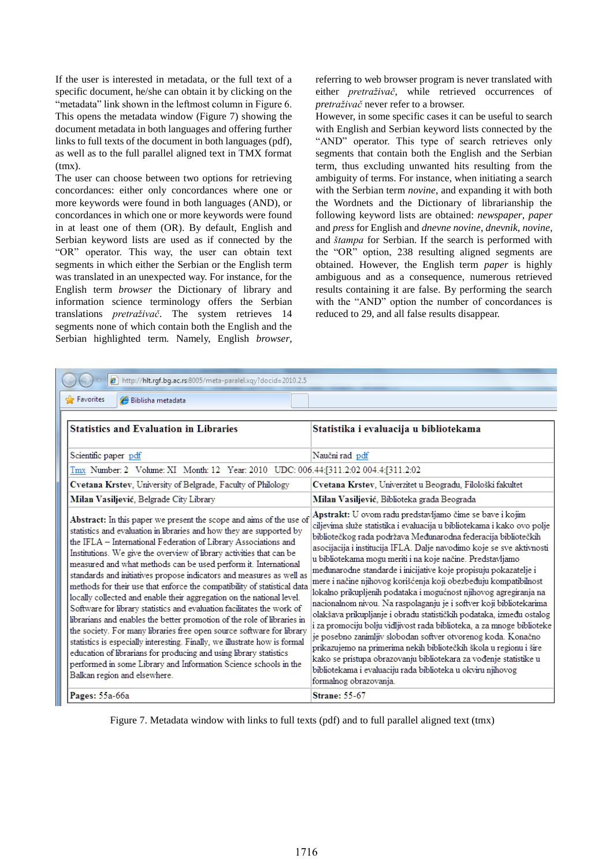If the user is interested in metadata, or the full text of a specific document, he/she can obtain it by clicking on the "metadata" link shown in the leftmost column in Figure 6. This opens the metadata window (Figure 7) showing the document metadata in both languages and offering further links to full texts of the document in both languages (pdf), as well as to the full parallel aligned text in TMX format  $(fmx)$ .

The user can choose between two options for retrieving concordances: either only concordances where one or more keywords were found in both languages (AND), or concordances in which one or more keywords were found in at least one of them (OR). By default, English and Serbian keyword lists are used as if connected by the "OR" operator. This way, the user can obtain text segments in which either the Serbian or the English term was translated in an unexpected way. For instance, for the English term *browser* the Dictionary of library and information science terminology offers the Serbian translations *pretraživač*. The system retrieves 14 segments none of which contain both the English and the Serbian highlighted term. Namely, English *browser*,

referring to web browser program is never translated with either *pretraživač*, while retrieved occurrences of *pretraživač* never refer to a browser.

However, in some specific cases it can be useful to search with English and Serbian keyword lists connected by the "AND" operator. This type of search retrieves only segments that contain both the English and the Serbian term, thus excluding unwanted hits resulting from the ambiguity of terms. For instance, when initiating a search with the Serbian term *novine*, and expanding it with both the Wordnets and the Dictionary of librarianship the following keyword lists are obtained: *newspaper*, *paper* and *press* for English and *dnevne novine*, *dnevnik*, *novine*, and *štampa* for Serbian. If the search is performed with the "OR" option, 238 resulting aligned segments are obtained. However, the English term *paper* is highly ambiguous and as a consequence, numerous retrieved results containing it are false. By performing the search with the "AND" option the number of concordances is reduced to 29, and all false results disappear.

| http://hlt.rgf.bg.ac.rs:8005/meta-paralel.xqy?docid=2010.2.5                                                                                                                                                                                                                                                                                                                                                                                                                                                                                                                                                                                                                                                                                                                                                                                                                                                                                                                                                                                                                 |                                                                                                                                                                                                                                                                                                                                                                                                                                                                                                                                                                                                                                                                                                                                                                                                                                                                                                                                                                                                                                                                                         |  |  |
|------------------------------------------------------------------------------------------------------------------------------------------------------------------------------------------------------------------------------------------------------------------------------------------------------------------------------------------------------------------------------------------------------------------------------------------------------------------------------------------------------------------------------------------------------------------------------------------------------------------------------------------------------------------------------------------------------------------------------------------------------------------------------------------------------------------------------------------------------------------------------------------------------------------------------------------------------------------------------------------------------------------------------------------------------------------------------|-----------------------------------------------------------------------------------------------------------------------------------------------------------------------------------------------------------------------------------------------------------------------------------------------------------------------------------------------------------------------------------------------------------------------------------------------------------------------------------------------------------------------------------------------------------------------------------------------------------------------------------------------------------------------------------------------------------------------------------------------------------------------------------------------------------------------------------------------------------------------------------------------------------------------------------------------------------------------------------------------------------------------------------------------------------------------------------------|--|--|
| Se Favorites<br>Biblisha metadata                                                                                                                                                                                                                                                                                                                                                                                                                                                                                                                                                                                                                                                                                                                                                                                                                                                                                                                                                                                                                                            |                                                                                                                                                                                                                                                                                                                                                                                                                                                                                                                                                                                                                                                                                                                                                                                                                                                                                                                                                                                                                                                                                         |  |  |
| <b>Statistics and Evaluation in Libraries</b>                                                                                                                                                                                                                                                                                                                                                                                                                                                                                                                                                                                                                                                                                                                                                                                                                                                                                                                                                                                                                                | Statistika i evaluacija u bibliotekama                                                                                                                                                                                                                                                                                                                                                                                                                                                                                                                                                                                                                                                                                                                                                                                                                                                                                                                                                                                                                                                  |  |  |
| Scientific paper pdf                                                                                                                                                                                                                                                                                                                                                                                                                                                                                                                                                                                                                                                                                                                                                                                                                                                                                                                                                                                                                                                         | Naučni rad pdf                                                                                                                                                                                                                                                                                                                                                                                                                                                                                                                                                                                                                                                                                                                                                                                                                                                                                                                                                                                                                                                                          |  |  |
| Tmx Number: 2 Volume: XI Month: 12 Year: 2010 UDC: 006.44:[311.2:02 004.4:[311.2:02                                                                                                                                                                                                                                                                                                                                                                                                                                                                                                                                                                                                                                                                                                                                                                                                                                                                                                                                                                                          |                                                                                                                                                                                                                                                                                                                                                                                                                                                                                                                                                                                                                                                                                                                                                                                                                                                                                                                                                                                                                                                                                         |  |  |
| Cvetana Krstev, University of Belgrade, Faculty of Philology                                                                                                                                                                                                                                                                                                                                                                                                                                                                                                                                                                                                                                                                                                                                                                                                                                                                                                                                                                                                                 | Cvetana Krstev, Univerzitet u Beogradu, Filološki fakultet                                                                                                                                                                                                                                                                                                                                                                                                                                                                                                                                                                                                                                                                                                                                                                                                                                                                                                                                                                                                                              |  |  |
| Milan Vasiljević, Belgrade City Library                                                                                                                                                                                                                                                                                                                                                                                                                                                                                                                                                                                                                                                                                                                                                                                                                                                                                                                                                                                                                                      | Milan Vasiljević, Biblioteka grada Beograda                                                                                                                                                                                                                                                                                                                                                                                                                                                                                                                                                                                                                                                                                                                                                                                                                                                                                                                                                                                                                                             |  |  |
| Abstract: In this paper we present the scope and aims of the use of<br>statistics and evaluation in libraries and how they are supported by<br>the IFLA - International Federation of Library Associations and<br>Institutions. We give the overview of library activities that can be<br>measured and what methods can be used perform it. International<br>standards and initiatives propose indicators and measures as well as<br>methods for their use that enforce the compatibility of statistical data<br>locally collected and enable their aggregation on the national level.<br>Software for library statistics and evaluation facilitates the work of<br>librarians and enables the better promotion of the role of libraries in<br>the society. For many libraries free open source software for library<br>statistics is especially interesting. Finally, we illustrate how is formal<br>education of librarians for producing and using library statistics<br>performed in some Library and Information Science schools in the<br>Balkan region and elsewhere. | Apstrakt: U ovom radu predstavljamo čime se bave i kojim<br>ciljevima služe statistika i evaluacija u bibliotekama i kako ovo polje<br>bibliotečkog rada podržava Međunarodna federacija bibliotečkih<br>asocijacija i institucija IFLA. Dalje navodimo koje se sve aktivnosti<br>u bibliotekama mogu meriti i na koje načine. Predstavljamo<br>međunarodne standarde i inicijative koje propisuju pokazatelje i<br>mere i načine njihovog korišćenja koji obezbeđuju kompatibilnost<br>lokalno prikupljenih podataka i mogućnost njihovog agregiranja na<br>nacionalnom nivou. Na raspolaganju je i softver koji bibliotekarima<br>olakšava prikupljanje i obradu statističkih podataka, između ostalog<br>i za promociju bolju vidljivost rada biblioteka, a za mnoge biblioteke<br>je posebno zanimljiv slobodan softver otvorenog koda. Konačno<br>prikazujemo na primerima nekih bibliotečkih škola u regionu i šire<br>kako se pristupa obrazovanju bibliotekara za vođenje statistike u<br>bibliotekama i evaluaciju rada biblioteka u okviru njihovog<br>formalnog obrazovanja. |  |  |
| Pages: 55a-66a                                                                                                                                                                                                                                                                                                                                                                                                                                                                                                                                                                                                                                                                                                                                                                                                                                                                                                                                                                                                                                                               | <b>Strane: 55-67</b>                                                                                                                                                                                                                                                                                                                                                                                                                                                                                                                                                                                                                                                                                                                                                                                                                                                                                                                                                                                                                                                                    |  |  |

Figure 7. Metadata window with links to full texts (pdf) and to full parallel aligned text (tmx)